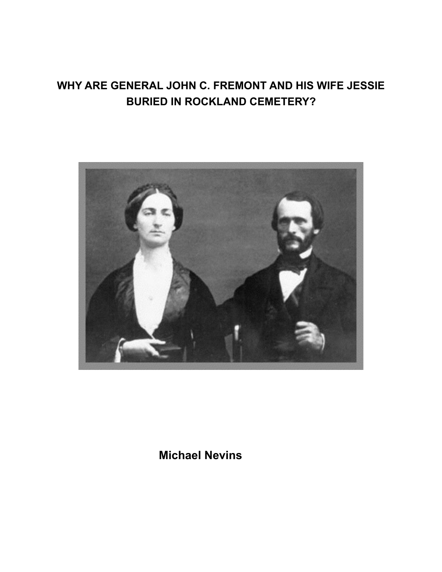# **WHY ARE GENERAL JOHN C. FREMONT AND HIS WIFE JESSIE BURIED IN ROCKLAND CEMETERY?**



 **Michael Nevins**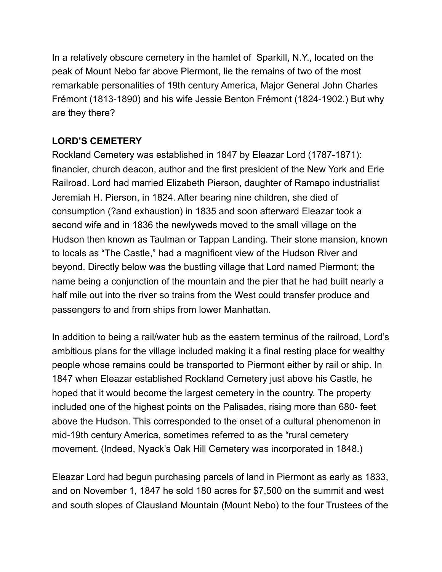In a relatively obscure cemetery in the hamlet of Sparkill, N.Y., located on the peak of Mount Nebo far above Piermont, lie the remains of two of the most remarkable personalities of 19th century America, Major General John Charles Frémont (1813-1890) and his wife Jessie Benton Frémont (1824-1902.) But why are they there?

# **LORD'S CEMETERY**

Rockland Cemetery was established in 1847 by Eleazar Lord (1787-1871): financier, church deacon, author and the first president of the New York and Erie Railroad. Lord had married Elizabeth Pierson, daughter of Ramapo industrialist Jeremiah H. Pierson, in 1824. After bearing nine children, she died of consumption (?and exhaustion) in 1835 and soon afterward Eleazar took a second wife and in 1836 the newlyweds moved to the small village on the Hudson then known as Taulman or Tappan Landing. Their stone mansion, known to locals as "The Castle," had a magnificent view of the Hudson River and beyond. Directly below was the bustling village that Lord named Piermont; the name being a conjunction of the mountain and the pier that he had built nearly a half mile out into the river so trains from the West could transfer produce and passengers to and from ships from lower Manhattan.

In addition to being a rail/water hub as the eastern terminus of the railroad, Lord's ambitious plans for the village included making it a final resting place for wealthy people whose remains could be transported to Piermont either by rail or ship. In 1847 when Eleazar established Rockland Cemetery just above his Castle, he hoped that it would become the largest cemetery in the country. The property included one of the highest points on the Palisades, rising more than 680- feet above the Hudson. This corresponded to the onset of a cultural phenomenon in mid-19th century America, sometimes referred to as the "rural cemetery movement. (Indeed, Nyack's Oak Hill Cemetery was incorporated in 1848.)

Eleazar Lord had begun purchasing parcels of land in Piermont as early as 1833, and on November 1, 1847 he sold 180 acres for \$7,500 on the summit and west and south slopes of Clausland Mountain (Mount Nebo) to the four Trustees of the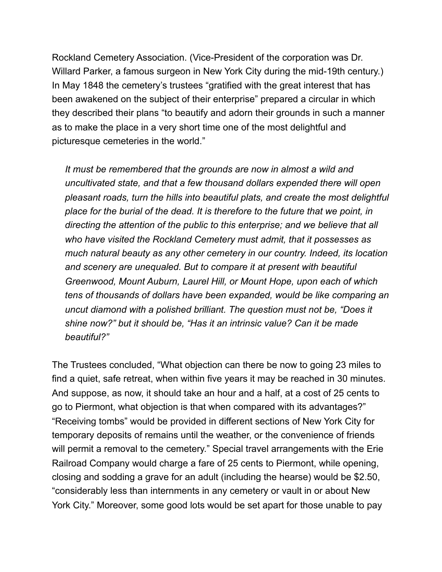Rockland Cemetery Association. (Vice-President of the corporation was Dr. Willard Parker, a famous surgeon in New York City during the mid-19th century.) In May 1848 the cemetery's trustees "gratified with the great interest that has been awakened on the subject of their enterprise" prepared a circular in which they described their plans "to beautify and adorn their grounds in such a manner as to make the place in a very short time one of the most delightful and picturesque cemeteries in the world."

 *It must be remembered that the grounds are now in almost a wild and uncultivated state, and that a few thousand dollars expended there will open pleasant roads, turn the hills into beautiful plats, and create the most delightful place for the burial of the dead. It is therefore to the future that we point, in directing the attention of the public to this enterprise; and we believe that all who have visited the Rockland Cemetery must admit, that it possesses as much natural beauty as any other cemetery in our country. Indeed, its location and scenery are unequaled. But to compare it at present with beautiful Greenwood, Mount Auburn, Laurel Hill, or Mount Hope, upon each of which tens of thousands of dollars have been expanded, would be like comparing an uncut diamond with a polished brilliant. The question must not be, "Does it shine now?" but it should be, "Has it an intrinsic value? Can it be made beautiful?"* 

The Trustees concluded, "What objection can there be now to going 23 miles to find a quiet, safe retreat, when within five years it may be reached in 30 minutes. And suppose, as now, it should take an hour and a half, at a cost of 25 cents to go to Piermont, what objection is that when compared with its advantages?" "Receiving tombs" would be provided in different sections of New York City for temporary deposits of remains until the weather, or the convenience of friends will permit a removal to the cemetery." Special travel arrangements with the Erie Railroad Company would charge a fare of 25 cents to Piermont, while opening, closing and sodding a grave for an adult (including the hearse) would be \$2.50, "considerably less than internments in any cemetery or vault in or about New York City." Moreover, some good lots would be set apart for those unable to pay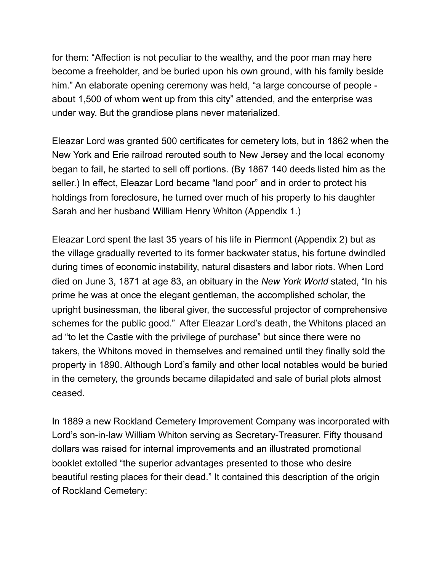for them: "Affection is not peculiar to the wealthy, and the poor man may here become a freeholder, and be buried upon his own ground, with his family beside him." An elaborate opening ceremony was held, "a large concourse of people about 1,500 of whom went up from this city" attended, and the enterprise was under way. But the grandiose plans never materialized.

Eleazar Lord was granted 500 certificates for cemetery lots, but in 1862 when the New York and Erie railroad rerouted south to New Jersey and the local economy began to fail, he started to sell off portions. (By 1867 140 deeds listed him as the seller.) In effect, Eleazar Lord became "land poor" and in order to protect his holdings from foreclosure, he turned over much of his property to his daughter Sarah and her husband William Henry Whiton (Appendix 1.)

Eleazar Lord spent the last 35 years of his life in Piermont (Appendix 2) but as the village gradually reverted to its former backwater status, his fortune dwindled during times of economic instability, natural disasters and labor riots. When Lord died on June 3, 1871 at age 83, an obituary in the *New York World* stated, "In his prime he was at once the elegant gentleman, the accomplished scholar, the upright businessman, the liberal giver, the successful projector of comprehensive schemes for the public good." After Eleazar Lord's death, the Whitons placed an ad "to let the Castle with the privilege of purchase" but since there were no takers, the Whitons moved in themselves and remained until they finally sold the property in 1890. Although Lord's family and other local notables would be buried in the cemetery, the grounds became dilapidated and sale of burial plots almost ceased.

In 1889 a new Rockland Cemetery Improvement Company was incorporated with Lord's son-in-law William Whiton serving as Secretary-Treasurer. Fifty thousand dollars was raised for internal improvements and an illustrated promotional booklet extolled "the superior advantages presented to those who desire beautiful resting places for their dead." It contained this description of the origin of Rockland Cemetery: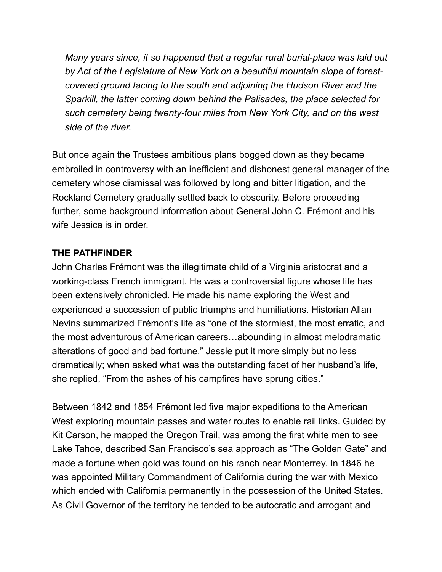*Many years since, it so happened that a regular rural burial-place was laid out by Act of the Legislature of New York on a beautiful mountain slope of forestcovered ground facing to the south and adjoining the Hudson River and the Sparkill, the latter coming down behind the Palisades, the place selected for such cemetery being twenty-four miles from New York City, and on the west side of the river.* 

But once again the Trustees ambitious plans bogged down as they became embroiled in controversy with an inefficient and dishonest general manager of the cemetery whose dismissal was followed by long and bitter litigation, and the Rockland Cemetery gradually settled back to obscurity. Before proceeding further, some background information about General John C. Frémont and his wife Jessica is in order.

## **THE PATHFINDER**

John Charles Frémont was the illegitimate child of a Virginia aristocrat and a working-class French immigrant. He was a controversial figure whose life has been extensively chronicled. He made his name exploring the West and experienced a succession of public triumphs and humiliations. Historian Allan Nevins summarized Frémont's life as "one of the stormiest, the most erratic, and the most adventurous of American careers…abounding in almost melodramatic alterations of good and bad fortune." Jessie put it more simply but no less dramatically; when asked what was the outstanding facet of her husband's life, she replied, "From the ashes of his campfires have sprung cities."

Between 1842 and 1854 Frémont led five major expeditions to the American West exploring mountain passes and water routes to enable rail links. Guided by Kit Carson, he mapped the Oregon Trail, was among the first white men to see Lake Tahoe, described San Francisco's sea approach as "The Golden Gate" and made a fortune when gold was found on his ranch near Monterrey. In 1846 he was appointed Military Commandment of California during the war with Mexico which ended with California permanently in the possession of the United States. As Civil Governor of the territory he tended to be autocratic and arrogant and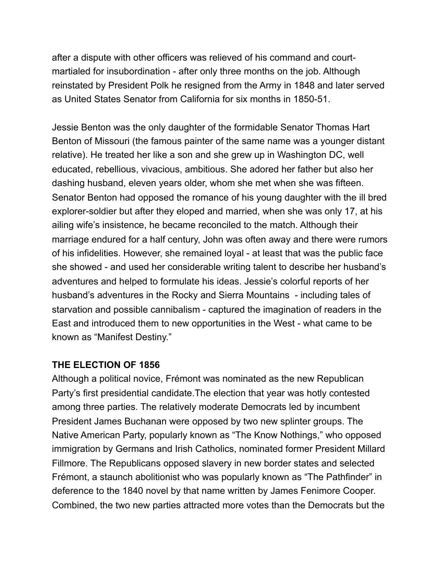after a dispute with other officers was relieved of his command and courtmartialed for insubordination - after only three months on the job. Although reinstated by President Polk he resigned from the Army in 1848 and later served as United States Senator from California for six months in 1850-51.

Jessie Benton was the only daughter of the formidable Senator Thomas Hart Benton of Missouri (the famous painter of the same name was a younger distant relative). He treated her like a son and she grew up in Washington DC, well educated, rebellious, vivacious, ambitious. She adored her father but also her dashing husband, eleven years older, whom she met when she was fifteen. Senator Benton had opposed the romance of his young daughter with the ill bred explorer-soldier but after they eloped and married, when she was only 17, at his ailing wife's insistence, he became reconciled to the match. Although their marriage endured for a half century, John was often away and there were rumors of his infidelities. However, she remained loyal - at least that was the public face she showed - and used her considerable writing talent to describe her husband's adventures and helped to formulate his ideas. Jessie's colorful reports of her husband's adventures in the Rocky and Sierra Mountains - including tales of starvation and possible cannibalism - captured the imagination of readers in the East and introduced them to new opportunities in the West - what came to be known as "Manifest Destiny."

#### **THE ELECTION OF 1856**

Although a political novice, Frémont was nominated as the new Republican Party's first presidential candidate.The election that year was hotly contested among three parties. The relatively moderate Democrats led by incumbent President James Buchanan were opposed by two new splinter groups. The Native American Party, popularly known as "The Know Nothings," who opposed immigration by Germans and Irish Catholics, nominated former President Millard Fillmore. The Republicans opposed slavery in new border states and selected Frémont, a staunch abolitionist who was popularly known as "The Pathfinder" in deference to the 1840 novel by that name written by James Fenimore Cooper. Combined, the two new parties attracted more votes than the Democrats but the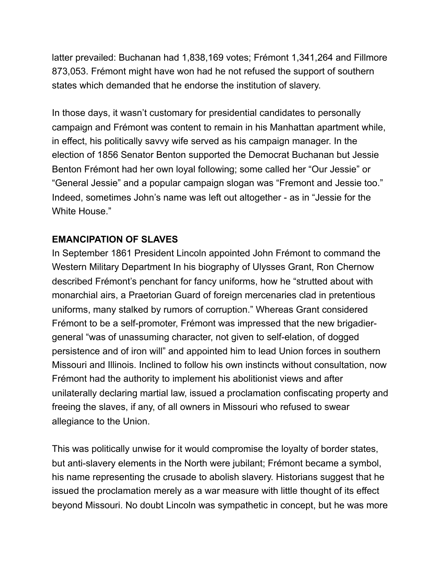latter prevailed: Buchanan had 1,838,169 votes; Frémont 1,341,264 and Fillmore 873,053. Frémont might have won had he not refused the support of southern states which demanded that he endorse the institution of slavery.

In those days, it wasn't customary for presidential candidates to personally campaign and Frémont was content to remain in his Manhattan apartment while, in effect, his politically savvy wife served as his campaign manager. In the election of 1856 Senator Benton supported the Democrat Buchanan but Jessie Benton Frémont had her own loyal following; some called her "Our Jessie" or "General Jessie" and a popular campaign slogan was "Fremont and Jessie too." Indeed, sometimes John's name was left out altogether - as in "Jessie for the White House."

# **EMANCIPATION OF SLAVES**

In September 1861 President Lincoln appointed John Frémont to command the Western Military Department In his biography of Ulysses Grant, Ron Chernow described Frémont's penchant for fancy uniforms, how he "strutted about with monarchial airs, a Praetorian Guard of foreign mercenaries clad in pretentious uniforms, many stalked by rumors of corruption." Whereas Grant considered Frémont to be a self-promoter, Frémont was impressed that the new brigadiergeneral "was of unassuming character, not given to self-elation, of dogged persistence and of iron will" and appointed him to lead Union forces in southern Missouri and Illinois. Inclined to follow his own instincts without consultation, now Frémont had the authority to implement his abolitionist views and after unilaterally declaring martial law, issued a proclamation confiscating property and freeing the slaves, if any, of all owners in Missouri who refused to swear allegiance to the Union.

This was politically unwise for it would compromise the loyalty of border states, but anti-slavery elements in the North were jubilant; Frémont became a symbol, his name representing the crusade to abolish slavery. Historians suggest that he issued the proclamation merely as a war measure with little thought of its effect beyond Missouri. No doubt Lincoln was sympathetic in concept, but he was more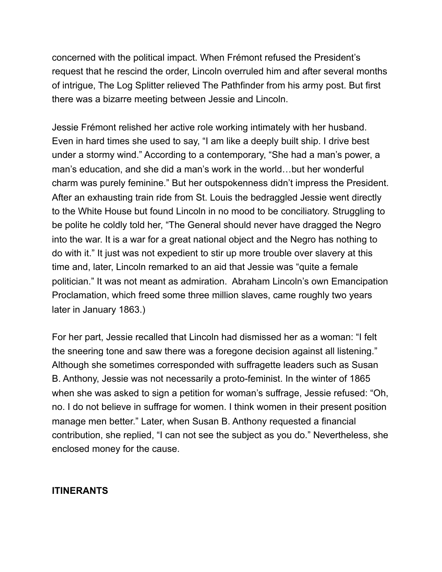concerned with the political impact. When Frémont refused the President's request that he rescind the order, Lincoln overruled him and after several months of intrigue, The Log Splitter relieved The Pathfinder from his army post. But first there was a bizarre meeting between Jessie and Lincoln.

Jessie Frémont relished her active role working intimately with her husband. Even in hard times she used to say, "I am like a deeply built ship. I drive best under a stormy wind." According to a contemporary, "She had a man's power, a man's education, and she did a man's work in the world…but her wonderful charm was purely feminine." But her outspokenness didn't impress the President. After an exhausting train ride from St. Louis the bedraggled Jessie went directly to the White House but found Lincoln in no mood to be conciliatory. Struggling to be polite he coldly told her, "The General should never have dragged the Negro into the war. It is a war for a great national object and the Negro has nothing to do with it." It just was not expedient to stir up more trouble over slavery at this time and, later, Lincoln remarked to an aid that Jessie was "quite a female politician." It was not meant as admiration. Abraham Lincoln's own Emancipation Proclamation, which freed some three million slaves, came roughly two years later in January 1863.)

For her part, Jessie recalled that Lincoln had dismissed her as a woman: "I felt the sneering tone and saw there was a foregone decision against all listening." Although she sometimes corresponded with suffragette leaders such as Susan B. Anthony, Jessie was not necessarily a proto-feminist. In the winter of 1865 when she was asked to sign a petition for woman's suffrage, Jessie refused: "Oh, no. I do not believe in suffrage for women. I think women in their present position manage men better." Later, when Susan B. Anthony requested a financial contribution, she replied, "I can not see the subject as you do." Nevertheless, she enclosed money for the cause.

#### **ITINERANTS**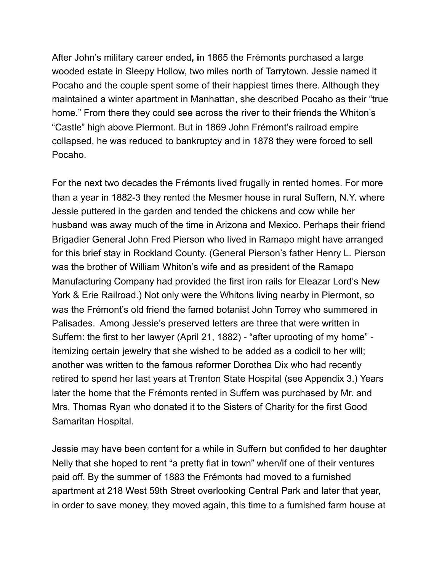After John's military career ended**, i**n 1865 the Frémonts purchased a large wooded estate in Sleepy Hollow, two miles north of Tarrytown. Jessie named it Pocaho and the couple spent some of their happiest times there. Although they maintained a winter apartment in Manhattan, she described Pocaho as their "true home." From there they could see across the river to their friends the Whiton's "Castle" high above Piermont. But in 1869 John Frémont's railroad empire collapsed, he was reduced to bankruptcy and in 1878 they were forced to sell Pocaho.

For the next two decades the Frémonts lived frugally in rented homes. For more than a year in 1882-3 they rented the Mesmer house in rural Suffern, N.Y. where Jessie puttered in the garden and tended the chickens and cow while her husband was away much of the time in Arizona and Mexico. Perhaps their friend Brigadier General John Fred Pierson who lived in Ramapo might have arranged for this brief stay in Rockland County. (General Pierson's father Henry L. Pierson was the brother of William Whiton's wife and as president of the Ramapo Manufacturing Company had provided the first iron rails for Eleazar Lord's New York & Erie Railroad.) Not only were the Whitons living nearby in Piermont, so was the Frémont's old friend the famed botanist John Torrey who summered in Palisades. Among Jessie's preserved letters are three that were written in Suffern: the first to her lawyer (April 21, 1882) - "after uprooting of my home" itemizing certain jewelry that she wished to be added as a codicil to her will; another was written to the famous reformer Dorothea Dix who had recently retired to spend her last years at Trenton State Hospital (see Appendix 3.) Years later the home that the Frémonts rented in Suffern was purchased by Mr. and Mrs. Thomas Ryan who donated it to the Sisters of Charity for the first Good Samaritan Hospital.

Jessie may have been content for a while in Suffern but confided to her daughter Nelly that she hoped to rent "a pretty flat in town" when/if one of their ventures paid off. By the summer of 1883 the Frémonts had moved to a furnished apartment at 218 West 59th Street overlooking Central Park and later that year, in order to save money, they moved again, this time to a furnished farm house at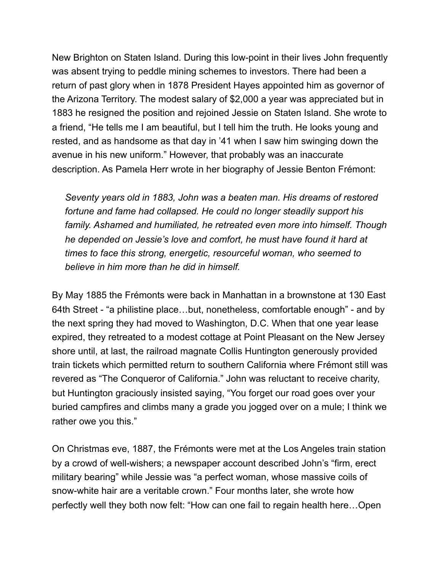New Brighton on Staten Island. During this low-point in their lives John frequently was absent trying to peddle mining schemes to investors. There had been a return of past glory when in 1878 President Hayes appointed him as governor of the Arizona Territory. The modest salary of \$2,000 a year was appreciated but in 1883 he resigned the position and rejoined Jessie on Staten Island. She wrote to a friend, "He tells me I am beautiful, but I tell him the truth. He looks young and rested, and as handsome as that day in '41 when I saw him swinging down the avenue in his new uniform." However, that probably was an inaccurate description. As Pamela Herr wrote in her biography of Jessie Benton Frémont:

 *Seventy years old in 1883, John was a beaten man. His dreams of restored fortune and fame had collapsed. He could no longer steadily support his family. Ashamed and humiliated, he retreated even more into himself. Though he depended on Jessie's love and comfort, he must have found it hard at times to face this strong, energetic, resourceful woman, who seemed to believe in him more than he did in himself.*

By May 1885 the Frémonts were back in Manhattan in a brownstone at 130 East 64th Street - "a philistine place…but, nonetheless, comfortable enough" - and by the next spring they had moved to Washington, D.C. When that one year lease expired, they retreated to a modest cottage at Point Pleasant on the New Jersey shore until, at last, the railroad magnate Collis Huntington generously provided train tickets which permitted return to southern California where Frémont still was revered as "The Conqueror of California." John was reluctant to receive charity, but Huntington graciously insisted saying, "You forget our road goes over your buried campfires and climbs many a grade you jogged over on a mule; I think we rather owe you this."

On Christmas eve, 1887, the Frémonts were met at the Los Angeles train station by a crowd of well-wishers; a newspaper account described John's "firm, erect military bearing" while Jessie was "a perfect woman, whose massive coils of snow-white hair are a veritable crown." Four months later, she wrote how perfectly well they both now felt: "How can one fail to regain health here…Open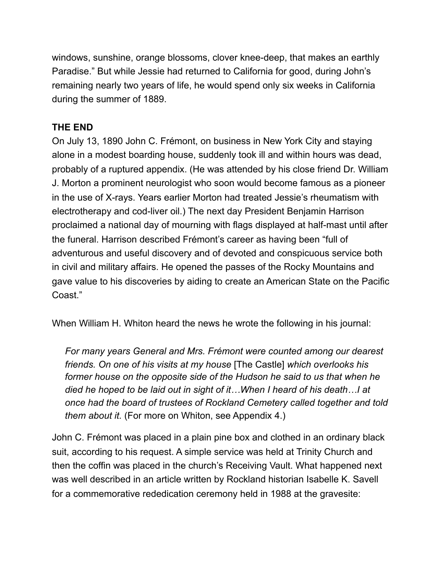windows, sunshine, orange blossoms, clover knee-deep, that makes an earthly Paradise." But while Jessie had returned to California for good, during John's remaining nearly two years of life, he would spend only six weeks in California during the summer of 1889.

## **THE END**

On July 13, 1890 John C. Frémont, on business in New York City and staying alone in a modest boarding house, suddenly took ill and within hours was dead, probably of a ruptured appendix. (He was attended by his close friend Dr. William J. Morton a prominent neurologist who soon would become famous as a pioneer in the use of X-rays. Years earlier Morton had treated Jessie's rheumatism with electrotherapy and cod-liver oil.) The next day President Benjamin Harrison proclaimed a national day of mourning with flags displayed at half-mast until after the funeral. Harrison described Frémont's career as having been "full of adventurous and useful discovery and of devoted and conspicuous service both in civil and military affairs. He opened the passes of the Rocky Mountains and gave value to his discoveries by aiding to create an American State on the Pacific Coast."

When William H. Whiton heard the news he wrote the following in his journal:

 *For many years General and Mrs. Frémont were counted among our dearest friends. On one of his visits at my house* [The Castle] *which overlooks his former house on the opposite side of the Hudson he said to us that when he died he hoped to be laid out in sight of it…When I heard of his death…I at once had the board of trustees of Rockland Cemetery called together and told them about it.* (For more on Whiton, see Appendix 4.)

John C. Frémont was placed in a plain pine box and clothed in an ordinary black suit, according to his request. A simple service was held at Trinity Church and then the coffin was placed in the church's Receiving Vault. What happened next was well described in an article written by Rockland historian Isabelle K. Savell for a commemorative rededication ceremony held in 1988 at the gravesite: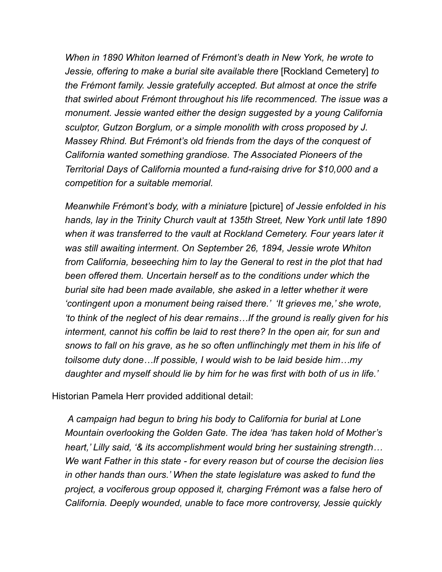*When in 1890 Whiton learned of Frémont's death in New York, he wrote to Jessie, offering to make a burial site available there* [Rockland Cemetery] to *the Frémont family. Jessie gratefully accepted. But almost at once the strife that swirled about Frémont throughout his life recommenced. The issue was a monument. Jessie wanted either the design suggested by a young California sculptor, Gutzon Borglum, or a simple monolith with cross proposed by J. Massey Rhind. But Frémont's old friends from the days of the conquest of California wanted something grandiose. The Associated Pioneers of the Territorial Days of California mounted a fund-raising drive for \$10,000 and a competition for a suitable memorial.* 

 *Meanwhile Frémont's body, with a miniature* [picture] *of Jessie enfolded in his hands, lay in the Trinity Church vault at 135th Street, New York until late 1890 when it was transferred to the vault at Rockland Cemetery. Four years later it was still awaiting interment. On September 26, 1894, Jessie wrote Whiton from California, beseeching him to lay the General to rest in the plot that had been offered them. Uncertain herself as to the conditions under which the burial site had been made available, she asked in a letter whether it were 'contingent upon a monument being raised there.' 'It grieves me,' she wrote, 'to think of the neglect of his dear remains…If the ground is really given for his interment, cannot his coffin be laid to rest there? In the open air, for sun and snows to fall on his grave, as he so often unflinchingly met them in his life of toilsome duty done…If possible, I would wish to be laid beside him…my daughter and myself should lie by him for he was first with both of us in life.'* 

Historian Pamela Herr provided additional detail:

 *A campaign had begun to bring his body to California for burial at Lone Mountain overlooking the Golden Gate. The idea 'has taken hold of Mother's heart,' Lilly said, '& its accomplishment would bring her sustaining strength… We want Father in this state - for every reason but of course the decision lies in other hands than ours.' When the state legislature was asked to fund the project, a vociferous group opposed it, charging Frémont was a false hero of California. Deeply wounded, unable to face more controversy, Jessie quickly*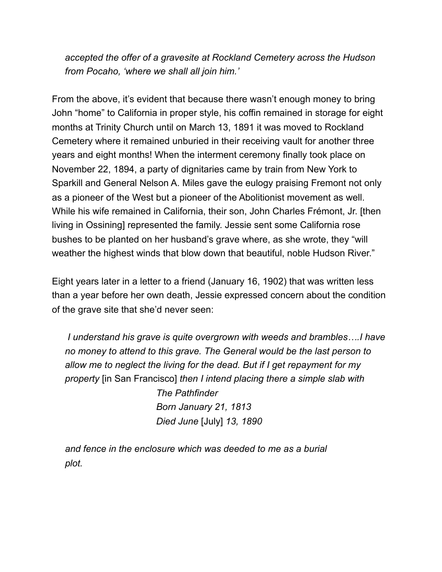*accepted the offer of a gravesite at Rockland Cemetery across the Hudson from Pocaho, 'where we shall all join him.'* 

From the above, it's evident that because there wasn't enough money to bring John "home" to California in proper style, his coffin remained in storage for eight months at Trinity Church until on March 13, 1891 it was moved to Rockland Cemetery where it remained unburied in their receiving vault for another three years and eight months! When the interment ceremony finally took place on November 22, 1894, a party of dignitaries came by train from New York to Sparkill and General Nelson A. Miles gave the eulogy praising Fremont not only as a pioneer of the West but a pioneer of the Abolitionist movement as well. While his wife remained in California, their son, John Charles Frémont, Jr. [then living in Ossining] represented the family. Jessie sent some California rose bushes to be planted on her husband's grave where, as she wrote, they "will weather the highest winds that blow down that beautiful, noble Hudson River."

Eight years later in a letter to a friend (January 16, 1902) that was written less than a year before her own death, Jessie expressed concern about the condition of the grave site that she'd never seen:

 *I understand his grave is quite overgrown with weeds and brambles….I have no money to attend to this grave. The General would be the last person to allow me to neglect the living for the dead. But if I get repayment for my property* [in San Francisco] *then I intend placing there a simple slab with* 

> *The Pathfinder Born January 21, 1813 Died June* [July] *13, 1890*

 *and fence in the enclosure which was deeded to me as a burial plot.*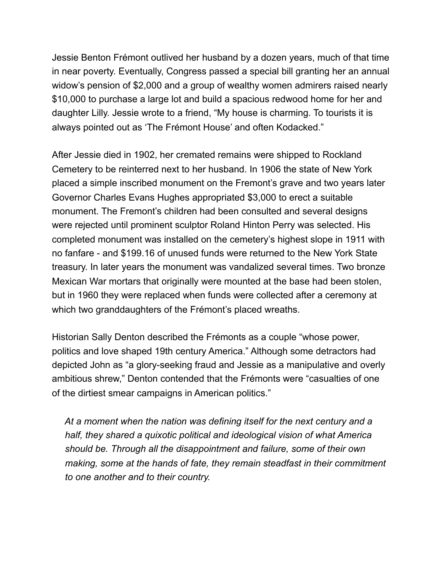Jessie Benton Frémont outlived her husband by a dozen years, much of that time in near poverty. Eventually, Congress passed a special bill granting her an annual widow's pension of \$2,000 and a group of wealthy women admirers raised nearly \$10,000 to purchase a large lot and build a spacious redwood home for her and daughter Lilly. Jessie wrote to a friend, "My house is charming. To tourists it is always pointed out as 'The Frémont House' and often Kodacked."

After Jessie died in 1902, her cremated remains were shipped to Rockland Cemetery to be reinterred next to her husband. In 1906 the state of New York placed a simple inscribed monument on the Fremont's grave and two years later Governor Charles Evans Hughes appropriated \$3,000 to erect a suitable monument. The Fremont's children had been consulted and several designs were rejected until prominent sculptor Roland Hinton Perry was selected. His completed monument was installed on the cemetery's highest slope in 1911 with no fanfare - and \$199.16 of unused funds were returned to the New York State treasury. In later years the monument was vandalized several times. Two bronze Mexican War mortars that originally were mounted at the base had been stolen, but in 1960 they were replaced when funds were collected after a ceremony at which two granddaughters of the Frémont's placed wreaths.

Historian Sally Denton described the Frémonts as a couple "whose power, politics and love shaped 19th century America." Although some detractors had depicted John as "a glory-seeking fraud and Jessie as a manipulative and overly ambitious shrew," Denton contended that the Frémonts were "casualties of one of the dirtiest smear campaigns in American politics."

 *At a moment when the nation was defining itself for the next century and a half, they shared a quixotic political and ideological vision of what America should be. Through all the disappointment and failure, some of their own making, some at the hands of fate, they remain steadfast in their commitment to one another and to their country.*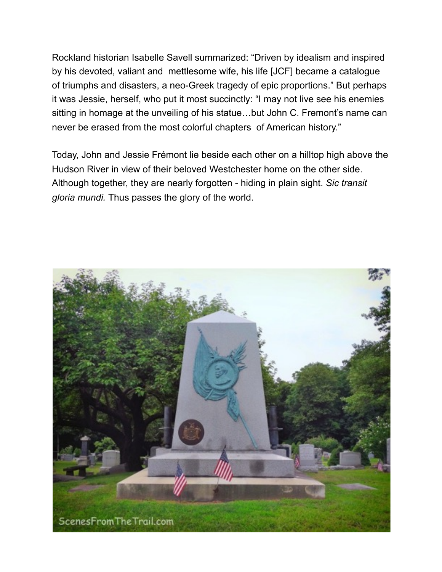Rockland historian Isabelle Savell summarized: "Driven by idealism and inspired by his devoted, valiant and mettlesome wife, his life [JCF] became a catalogue of triumphs and disasters, a neo-Greek tragedy of epic proportions." But perhaps it was Jessie, herself, who put it most succinctly: "I may not live see his enemies sitting in homage at the unveiling of his statue…but John C. Fremont's name can never be erased from the most colorful chapters of American history."

Today, John and Jessie Frémont lie beside each other on a hilltop high above the Hudson River in view of their beloved Westchester home on the other side. Although together, they are nearly forgotten - hiding in plain sight. *Sic transit gloria mundi.* Thus passes the glory of the world.

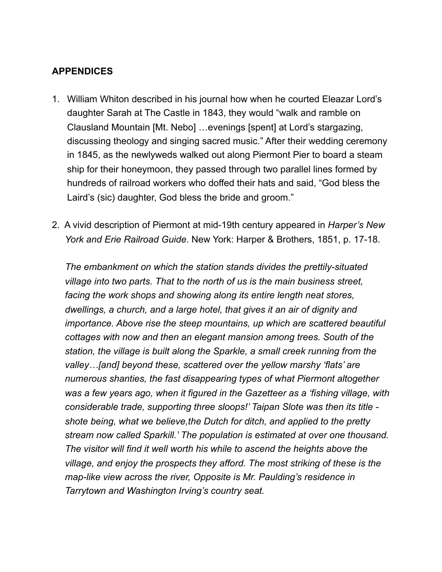#### **APPENDICES**

- 1. William Whiton described in his journal how when he courted Eleazar Lord's daughter Sarah at The Castle in 1843, they would "walk and ramble on Clausland Mountain [Mt. Nebo] …evenings [spent] at Lord's stargazing, discussing theology and singing sacred music." After their wedding ceremony in 1845, as the newlyweds walked out along Piermont Pier to board a steam ship for their honeymoon, they passed through two parallel lines formed by hundreds of railroad workers who doffed their hats and said, "God bless the Laird's (sic) daughter, God bless the bride and groom."
- 2. A vivid description of Piermont at mid-19th century appeared in *Harper's New York and Erie Railroad Guide*. New York: Harper & Brothers, 1851, p. 17-18.

 *The embankment on which the station stands divides the prettily-situated village into two parts. That to the north of us is the main business street, facing the work shops and showing along its entire length neat stores, dwellings, a church, and a large hotel, that gives it an air of dignity and importance. Above rise the steep mountains, up which are scattered beautiful cottages with now and then an elegant mansion among trees. South of the station, the village is built along the Sparkle, a small creek running from the valley…[and] beyond these, scattered over the yellow marshy 'flats' are numerous shanties, the fast disappearing types of what Piermont altogether was a few years ago, when it figured in the Gazetteer as a 'fishing village, with considerable trade, supporting three sloops!' Taipan Slote was then its title shote being, what we believe,the Dutch for ditch, and applied to the pretty stream now called Sparkill.' The population is estimated at over one thousand. The visitor will find it well worth his while to ascend the heights above the village, and enjoy the prospects they afford. The most striking of these is the map-like view across the river, Opposite is Mr. Paulding's residence in Tarrytown and Washington Irving's country seat.*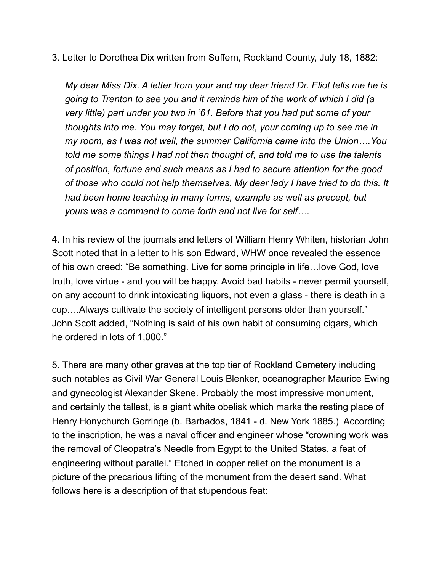3. Letter to Dorothea Dix written from Suffern, Rockland County, July 18, 1882:

 *My dear Miss Dix. A letter from your and my dear friend Dr. Eliot tells me he is going to Trenton to see you and it reminds him of the work of which I did (a very little) part under you two in '61. Before that you had put some of your thoughts into me. You may forget, but I do not, your coming up to see me in my room, as I was not well, the summer California came into the Union….You told me some things I had not then thought of, and told me to use the talents of position, fortune and such means as I had to secure attention for the good of those who could not help themselves. My dear lady I have tried to do this. It had been home teaching in many forms, example as well as precept, but yours was a command to come forth and not live for self….* 

4. In his review of the journals and letters of William Henry Whiten, historian John Scott noted that in a letter to his son Edward, WHW once revealed the essence of his own creed: "Be something. Live for some principle in life…love God, love truth, love virtue - and you will be happy. Avoid bad habits - never permit yourself, on any account to drink intoxicating liquors, not even a glass - there is death in a cup….Always cultivate the society of intelligent persons older than yourself." John Scott added, "Nothing is said of his own habit of consuming cigars, which he ordered in lots of 1,000."

5. There are many other graves at the top tier of Rockland Cemetery including such notables as Civil War General Louis Blenker, oceanographer Maurice Ewing and gynecologist Alexander Skene. Probably the most impressive monument, and certainly the tallest, is a giant white obelisk which marks the resting place of Henry Honychurch Gorringe (b. Barbados, 1841 - d. New York 1885.) According to the inscription, he was a naval officer and engineer whose "crowning work was the removal of Cleopatra's Needle from Egypt to the United States, a feat of engineering without parallel." Etched in copper relief on the monument is a picture of the precarious lifting of the monument from the desert sand. What follows here is a description of that stupendous feat: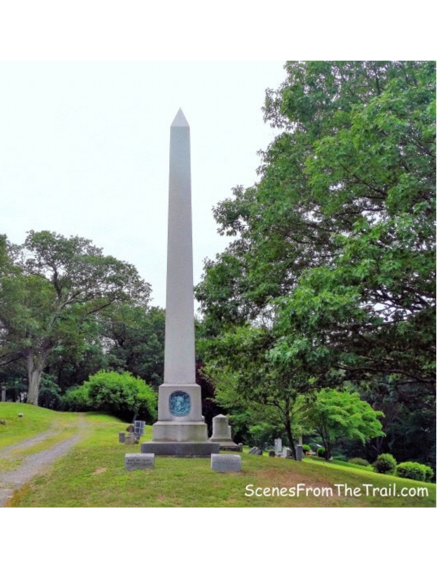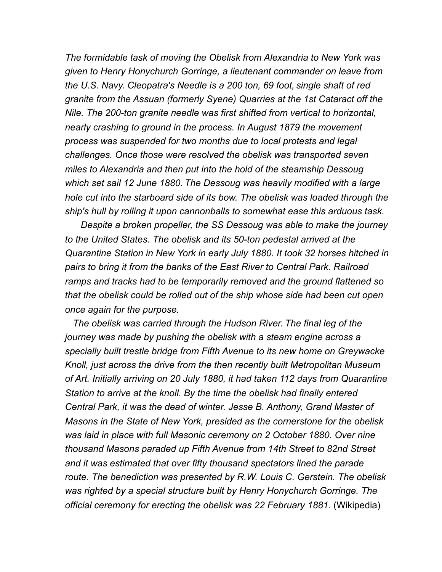*The formidable task of moving the Obelisk from Alexandria to New York was given to Henry Honychurch Gorringe, a lieutenant commander on leave from the U.S. Navy. Cleopatra's Needle is a 200 ton, 69 foot, single shaft of red granite from the Assuan (formerly Syene) Quarries at the 1st Cataract off the Nile. The 200-ton granite needle was first shifted from vertical to horizontal, nearly crashing to ground in the process. In August 1879 the movement process was suspended for two months due to local protests and legal challenges. Once those were resolved the obelisk was transported seven miles to Alexandria and then put into the hold of the steamship Dessoug which set sail 12 June 1880. The Dessoug was heavily modified with a large hole cut into the starboard side of its bow. The obelisk was loaded through the ship's hull by rolling it upon cannonballs to somewhat ease this arduous task.*

 *Despite a broken propeller, the SS Dessoug was able to make the journey to the United States. The obelisk and its 50-ton pedestal arrived at the Quarantine Station in New York in early July 1880. It took 32 horses hitched in pairs to bring it from the banks of the East River to Central Park. Railroad ramps and tracks had to be temporarily removed and the ground flattened so that the obelisk could be rolled out of the ship whose side had been cut open once again for the purpose.* 

 *The obelisk was carried through the Hudson River. The final leg of the journey was made by pushing the obelisk with a steam engine across a specially built trestle bridge from Fifth Avenue to its new home on Greywacke Knoll, just across the drive from the then recently built Metropolitan Museum of Art. Initially arriving on 20 July 1880, it had taken 112 days from Quarantine Station to arrive at the knoll. By the time the obelisk had finally entered Central Park, it was the dead of winter. Jesse B. Anthony, Grand Master of Masons in the State of New York, presided as the cornerstone for the obelisk was laid in place with full Masonic ceremony on 2 October 1880. Over nine thousand Masons paraded up Fifth Avenue from 14th Street to 82nd Street and it was estimated that over fifty thousand spectators lined the parade route. The benediction was presented by R.W. Louis C. Gerstein. The obelisk was righted by a special structure built by Henry Honychurch Gorringe. The official ceremony for erecting the obelisk was 22 February 1881.* (Wikipedia)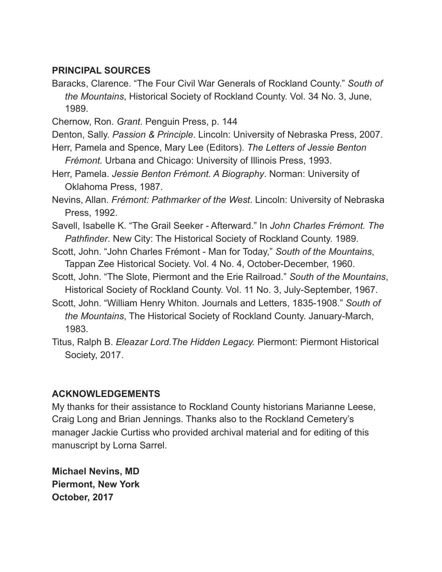#### **PRINCIPAL SOURCES**

Baracks, Clarence. "The Four Civil War Generals of Rockland County." *South of the Mountains*, Historical Society of Rockland County. Vol. 34 No. 3, June, 1989.

Chernow, Ron. *Grant*. Penguin Press, p. 144

Denton, Sally. *Passion & Principle*. Lincoln: University of Nebraska Press, 2007. Herr, Pamela and Spence, Mary Lee (Editors). *The Letters of Jessie Benton* 

*Frémont.* Urbana and Chicago: University of Illinois Press, 1993.

- Herr, Pamela. *Jessie Benton Frémont. A Biography*. Norman: University of Oklahoma Press, 1987.
- Nevins, Allan. *Frémont: Pathmarker of the West*. Lincoln: University of Nebraska Press, 1992.
- Savell, Isabelle K. "The Grail Seeker Afterward." In *John Charles Frémont. The Pathfinder*. New City: The Historical Society of Rockland County. 1989.
- Scott, John. "John Charles Frémont Man for Today," *South of the Mountains*, Tappan Zee Historical Society. Vol. 4 No. 4, October-December, 1960.
- Scott, John. "The Slote, Piermont and the Erie Railroad." *South of the Mountains*, Historical Society of Rockland County. Vol. 11 No. 3, July-September, 1967.
- Scott, John. "William Henry Whiton. Journals and Letters, 1835-1908." *South of the Mountains*, The Historical Society of Rockland County. January-March, 1983.
- Titus, Ralph B. *Eleazar Lord.The Hidden Legacy.* Piermont: Piermont Historical Society, 2017.

## **ACKNOWLEDGEMENTS**

My thanks for their assistance to Rockland County historians Marianne Leese, Craig Long and Brian Jennings. Thanks also to the Rockland Cemetery's manager Jackie Curtiss who provided archival material and for editing of this manuscript by Lorna Sarrel.

**Michael Nevins, MD Piermont, New York October, 2017**